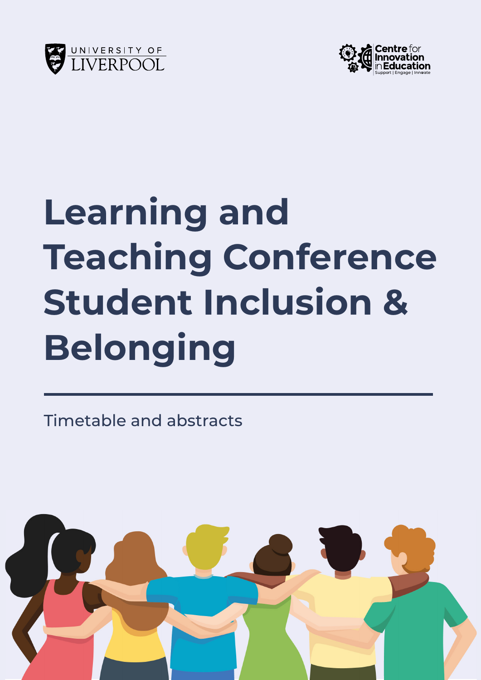



# **Learning and Teaching Conference Student Inclusion & Belonging**

Timetable and abstracts

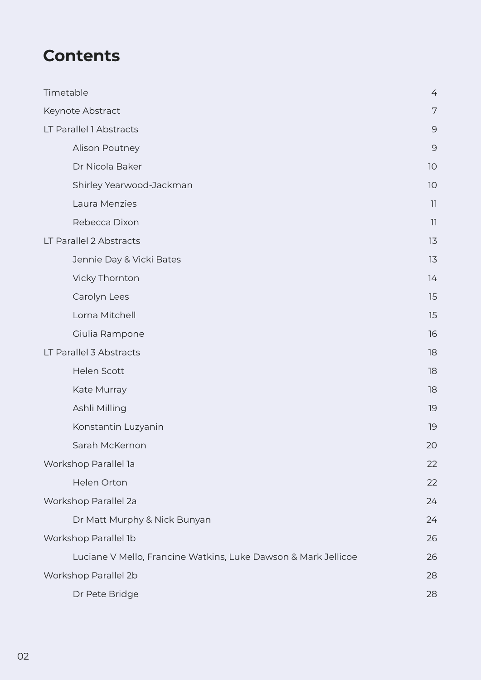## **Contents**

| Timetable                                                      | 4  |
|----------------------------------------------------------------|----|
| Keynote Abstract                                               | 7  |
| LT Parallel 1 Abstracts                                        | 9  |
| Alison Poutney                                                 | 9  |
| Dr Nicola Baker                                                | 10 |
| Shirley Yearwood-Jackman                                       | 10 |
| Laura Menzies                                                  | 11 |
| Rebecca Dixon                                                  | 11 |
| LT Parallel 2 Abstracts                                        | 13 |
| Jennie Day & Vicki Bates                                       | 13 |
| Vicky Thornton                                                 | 14 |
| Carolyn Lees                                                   | 15 |
| Lorna Mitchell                                                 | 15 |
| Giulia Rampone                                                 | 16 |
| LT Parallel 3 Abstracts                                        | 18 |
| <b>Helen Scott</b>                                             | 18 |
| Kate Murray                                                    | 18 |
| Ashli Milling                                                  | 19 |
| Konstantin Luzyanin                                            | 19 |
| Sarah McKernon                                                 | 20 |
| Workshop Parallel la                                           | 22 |
| Helen Orton                                                    | 22 |
| Workshop Parallel 2a                                           | 24 |
| Dr Matt Murphy & Nick Bunyan                                   | 24 |
| Workshop Parallel 1b                                           | 26 |
| Luciane V Mello, Francine Watkins, Luke Dawson & Mark Jellicoe | 26 |
| Workshop Parallel 2b                                           | 28 |
| Dr Pete Bridge                                                 | 28 |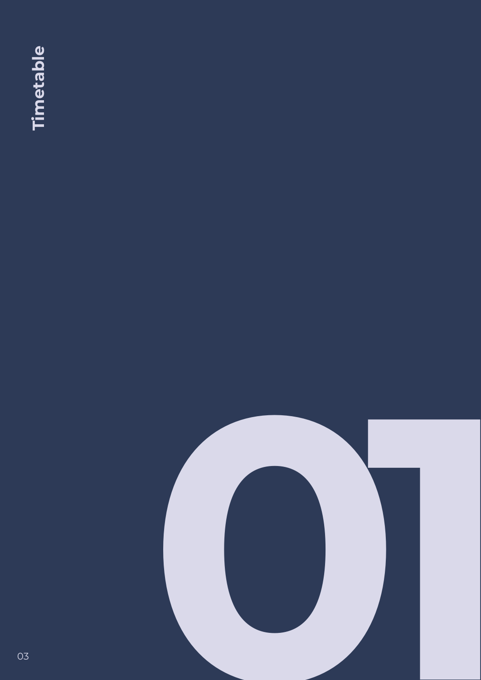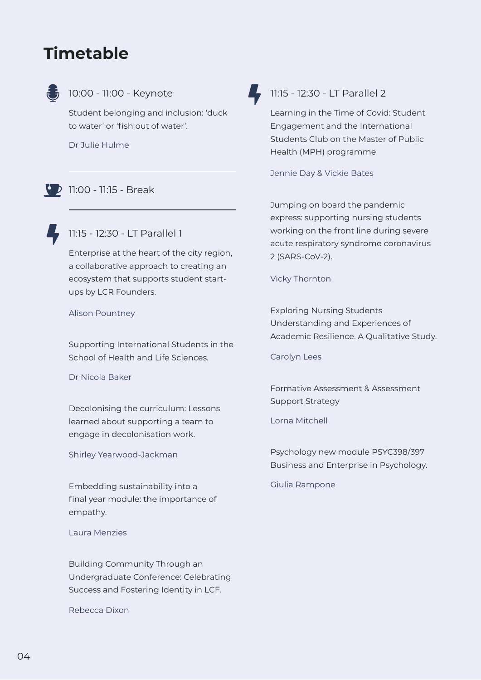## <span id="page-3-0"></span>**Timetable**



#### 10:00 - 11:00 - Keynote

Student belonging and inclusion: 'duck to water' or 'fish out of water'.

Dr Julie Hulme

#### $11:00 - 11:15 - Break$



#### 11:15 - 12:30 - LT Parallel 1

Enterprise at the heart of the city region, a collaborative approach to creating an ecosystem that supports student startups by LCR Founders.

Alison Pountney

Supporting International Students in the School of Health and Life Sciences.

Dr Nicola Baker

Decolonising the curriculum: Lessons learned about supporting a team to engage in decolonisation work.

Shirley Yearwood-Jackman

Embedding sustainability into a final year module: the importance of empathy.

Laura Menzies

Building Community Through an Undergraduate Conference: Celebrating Success and Fostering Identity in LCF.

Rebecca Dixon



#### 11:15 - 12:30 - LT Parallel 2

Learning in the Time of Covid: Student Engagement and the International Students Club on the Master of Public Health (MPH) programme

Jennie Day & Vickie Bates

Jumping on board the pandemic express: supporting nursing students working on the front line during severe acute respiratory syndrome coronavirus 2 (SARS-CoV-2).

Vicky Thornton

Exploring Nursing Students Understanding and Experiences of Academic Resilience. A Qualitative Study.

Carolyn Lees

Formative Assessment & Assessment Support Strategy

Lorna Mitchell

Psychology new module PSYC398/397 Business and Enterprise in Psychology.

Giulia Rampone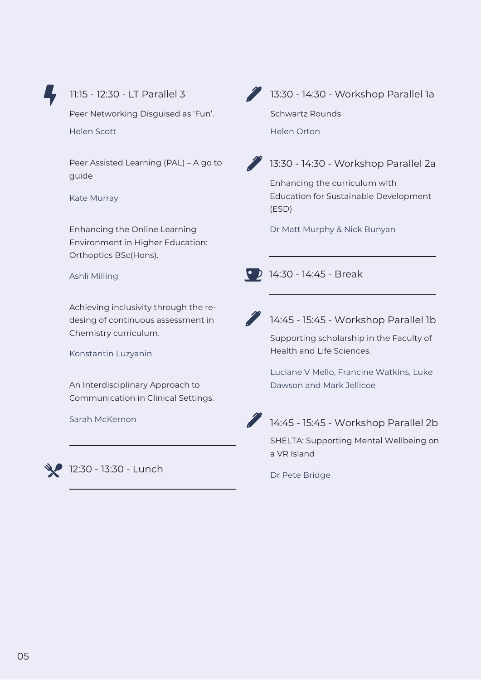

#### 11:15 - 12:30 - LT Parallel 3

Peer Networking Disguised as 'Fun'. Helen Scott

Peer Assisted Learning (PAL) – A go to guide

Kate Murray

Enhancing the Online Learning Environment in Higher Education: Orthoptics BSc(Hons).

Ashli Milling

Achieving inclusivity through the redesing of continuous assessment in Chemistry curriculum.

Konstantin Luzyanin

An Interdisciplinary Approach to Communication in Clinical Settings.

Sarah McKernon



12:30 - 13:30 - Lunch



13:30 - 14:30 - Workshop Parallel 1a

Schwartz Rounds Helen Orton



#### 13:30 - 14:30 - Workshop Parallel 2a

Enhancing the curriculum with Education for Sustainable Development (ESD)

Dr Matt Murphy & Nick Bunyan

14:30 - 14:45 - Break



#### 14:45 - 15:45 - Workshop Parallel 1b

Supporting scholarship in the Faculty of Health and Life Sciences.

Luciane V Mello, Francine Watkins, Luke Dawson and Mark Jellicoe



### 14:45 - 15:45 - Workshop Parallel 2b

SHELTA: Supporting Mental Wellbeing on a VR Island

Dr Pete Bridge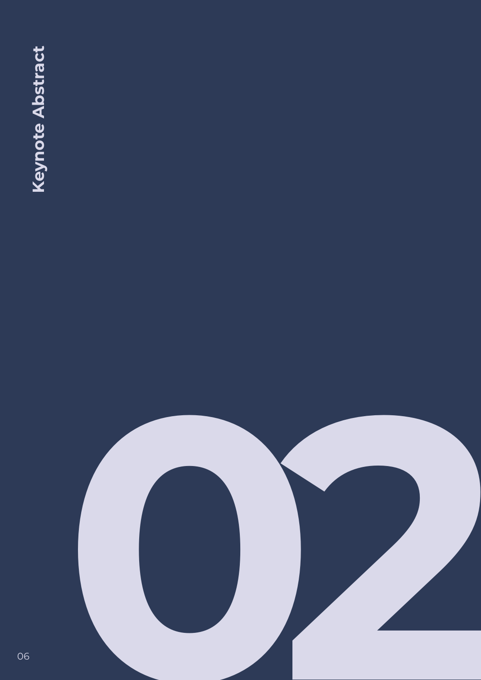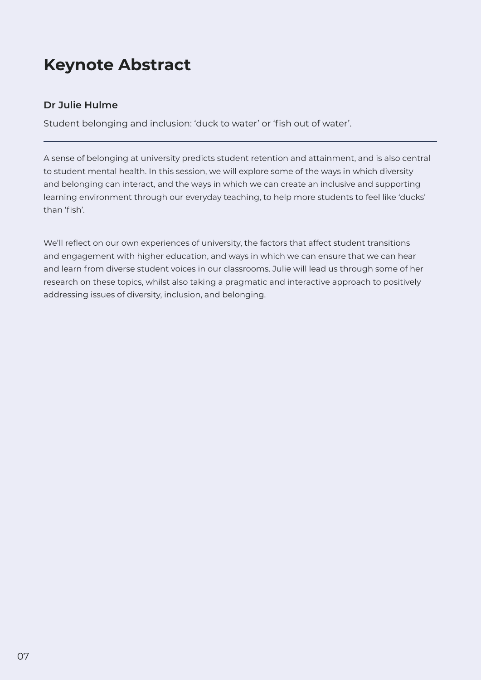## <span id="page-6-0"></span>**Keynote Abstract**

#### **Dr Julie Hulme**

Student belonging and inclusion: 'duck to water' or 'fish out of water'.

A sense of belonging at university predicts student retention and attainment, and is also central to student mental health. In this session, we will explore some of the ways in which diversity and belonging can interact, and the ways in which we can create an inclusive and supporting learning environment through our everyday teaching, to help more students to feel like 'ducks' than 'fish'.

We'll reflect on our own experiences of university, the factors that affect student transitions and engagement with higher education, and ways in which we can ensure that we can hear and learn from diverse student voices in our classrooms. Julie will lead us through some of her research on these topics, whilst also taking a pragmatic and interactive approach to positively addressing issues of diversity, inclusion, and belonging.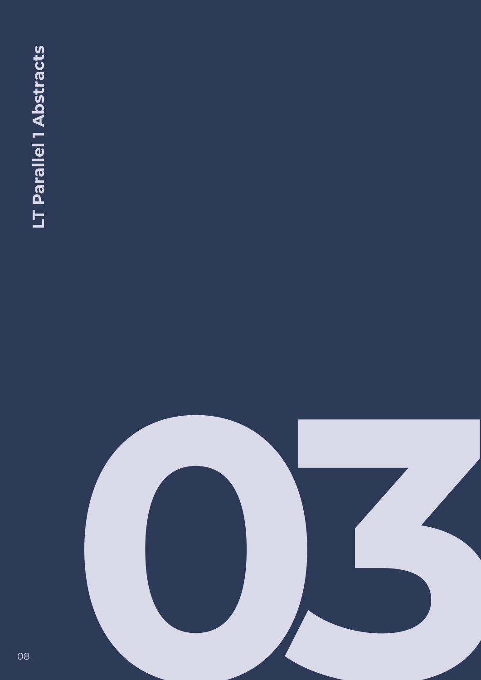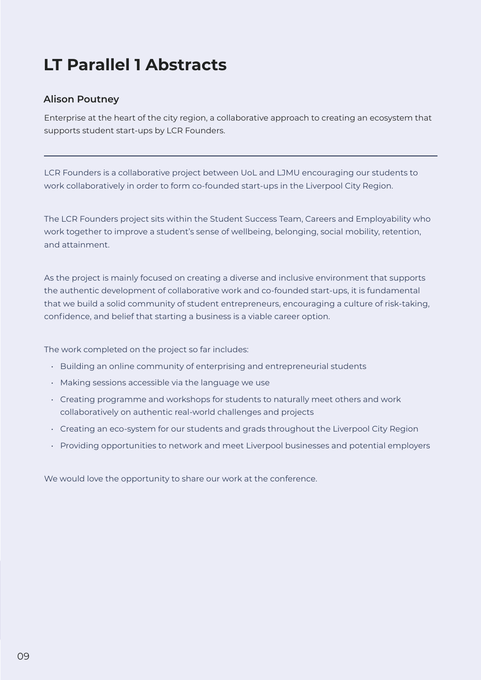## <span id="page-8-0"></span>**LT Parallel 1 Abstracts**

#### **Alison Poutney**

Enterprise at the heart of the city region, a collaborative approach to creating an ecosystem that supports student start-ups by LCR Founders.

LCR Founders is a collaborative project between UoL and LJMU encouraging our students to work collaboratively in order to form co-founded start-ups in the Liverpool City Region.

The LCR Founders project sits within the Student Success Team, Careers and Employability who work together to improve a student's sense of wellbeing, belonging, social mobility, retention, and attainment.

As the project is mainly focused on creating a diverse and inclusive environment that supports the authentic development of collaborative work and co-founded start-ups, it is fundamental that we build a solid community of student entrepreneurs, encouraging a culture of risk-taking, confidence, and belief that starting a business is a viable career option.

The work completed on the project so far includes:

- Building an online community of enterprising and entrepreneurial students
- Making sessions accessible via the language we use
- Creating programme and workshops for students to naturally meet others and work collaboratively on authentic real-world challenges and projects
- Creating an eco-system for our students and grads throughout the Liverpool City Region
- Providing opportunities to network and meet Liverpool businesses and potential employers

We would love the opportunity to share our work at the conference.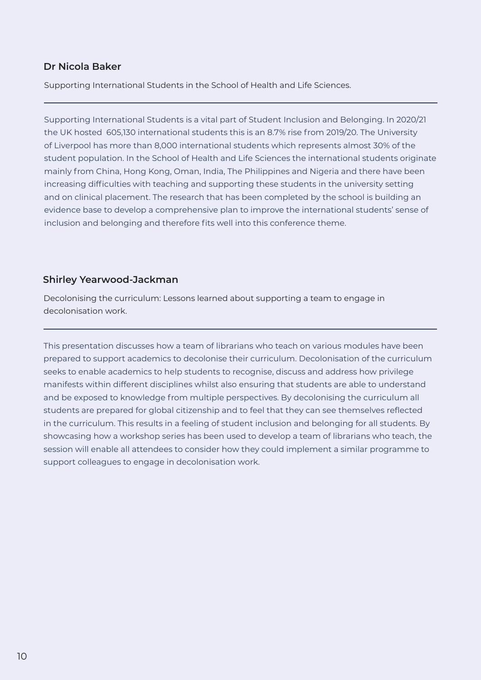#### <span id="page-9-0"></span>**Dr Nicola Baker**

Supporting International Students in the School of Health and Life Sciences.

Supporting International Students is a vital part of Student Inclusion and Belonging. In 2020/21 the UK hosted 605,130 international students this is an 8.7% rise from 2019/20. The University of Liverpool has more than 8,000 international students which represents almost 30% of the student population. In the School of Health and Life Sciences the international students originate mainly from China, Hong Kong, Oman, India, The Philippines and Nigeria and there have been increasing difficulties with teaching and supporting these students in the university setting and on clinical placement. The research that has been completed by the school is building an evidence base to develop a comprehensive plan to improve the international students' sense of inclusion and belonging and therefore fits well into this conference theme.

#### **Shirley Yearwood-Jackman**

Decolonising the curriculum: Lessons learned about supporting a team to engage in decolonisation work.

This presentation discusses how a team of librarians who teach on various modules have been prepared to support academics to decolonise their curriculum. Decolonisation of the curriculum seeks to enable academics to help students to recognise, discuss and address how privilege manifests within different disciplines whilst also ensuring that students are able to understand and be exposed to knowledge from multiple perspectives. By decolonising the curriculum all students are prepared for global citizenship and to feel that they can see themselves reflected in the curriculum. This results in a feeling of student inclusion and belonging for all students. By showcasing how a workshop series has been used to develop a team of librarians who teach, the session will enable all attendees to consider how they could implement a similar programme to support colleagues to engage in decolonisation work.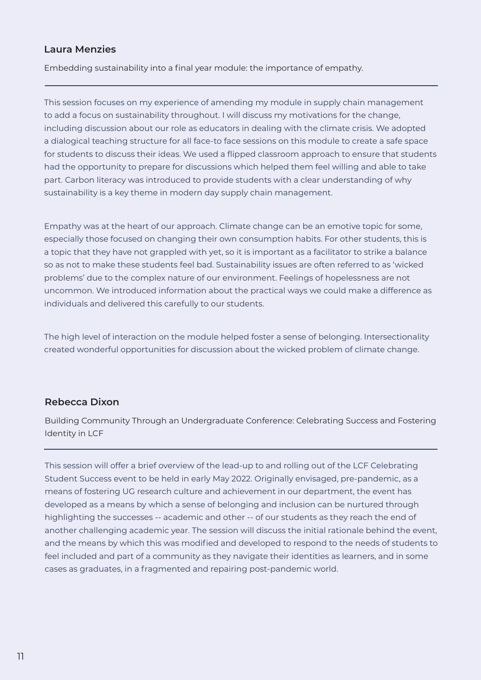#### <span id="page-10-0"></span>**Laura Menzies**

Embedding sustainability into a final year module: the importance of empathy.

This session focuses on my experience of amending my module in supply chain management to add a focus on sustainability throughout. I will discuss my motivations for the change, including discussion about our role as educators in dealing with the climate crisis. We adopted a dialogical teaching structure for all face-to face sessions on this module to create a safe space for students to discuss their ideas. We used a flipped classroom approach to ensure that students had the opportunity to prepare for discussions which helped them feel willing and able to take part. Carbon literacy was introduced to provide students with a clear understanding of why sustainability is a key theme in modern day supply chain management.

Empathy was at the heart of our approach. Climate change can be an emotive topic for some, especially those focused on changing their own consumption habits. For other students, this is a topic that they have not grappled with yet, so it is important as a facilitator to strike a balance so as not to make these students feel bad. Sustainability issues are often referred to as 'wicked problems' due to the complex nature of our environment. Feelings of hopelessness are not uncommon. We introduced information about the practical ways we could make a difference as individuals and delivered this carefully to our students.

The high level of interaction on the module helped foster a sense of belonging. Intersectionality created wonderful opportunities for discussion about the wicked problem of climate change.

#### **Rebecca Dixon**

Building Community Through an Undergraduate Conference: Celebrating Success and Fostering Identity in LCF

This session will offer a brief overview of the lead-up to and rolling out of the LCF Celebrating Student Success event to be held in early May 2022. Originally envisaged, pre-pandemic, as a means of fostering UG research culture and achievement in our department, the event has developed as a means by which a sense of belonging and inclusion can be nurtured through highlighting the successes -- academic and other -- of our students as they reach the end of another challenging academic year. The session will discuss the initial rationale behind the event, and the means by which this was modified and developed to respond to the needs of students to feel included and part of a community as they navigate their identities as learners, and in some cases as graduates, in a fragmented and repairing post-pandemic world.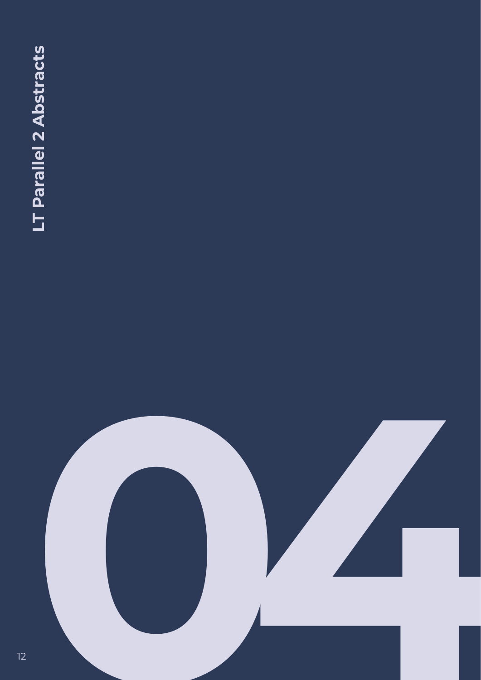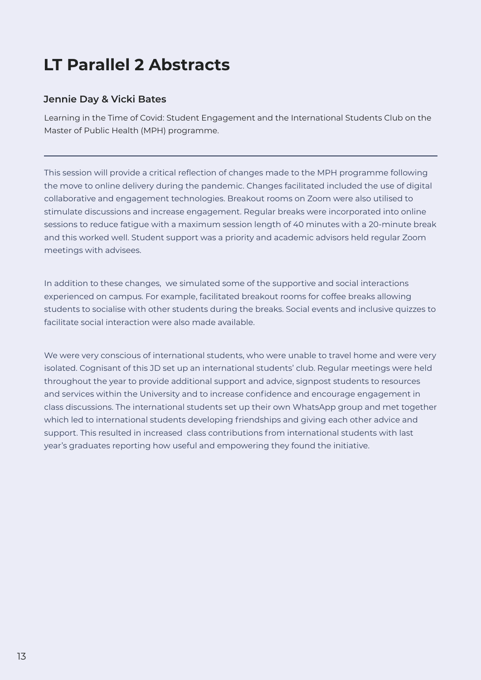## <span id="page-12-0"></span>**LT Parallel 2 Abstracts**

#### **Jennie Day & Vicki Bates**

Learning in the Time of Covid: Student Engagement and the International Students Club on the Master of Public Health (MPH) programme.

This session will provide a critical reflection of changes made to the MPH programme following the move to online delivery during the pandemic. Changes facilitated included the use of digital collaborative and engagement technologies. Breakout rooms on Zoom were also utilised to stimulate discussions and increase engagement. Regular breaks were incorporated into online sessions to reduce fatigue with a maximum session length of 40 minutes with a 20-minute break and this worked well. Student support was a priority and academic advisors held regular Zoom meetings with advisees.

In addition to these changes, we simulated some of the supportive and social interactions experienced on campus. For example, facilitated breakout rooms for coffee breaks allowing students to socialise with other students during the breaks. Social events and inclusive quizzes to facilitate social interaction were also made available.

We were very conscious of international students, who were unable to travel home and were very isolated. Cognisant of this JD set up an international students' club. Regular meetings were held throughout the year to provide additional support and advice, signpost students to resources and services within the University and to increase confidence and encourage engagement in class discussions. The international students set up their own WhatsApp group and met together which led to international students developing friendships and giving each other advice and support. This resulted in increased class contributions from international students with last year's graduates reporting how useful and empowering they found the initiative.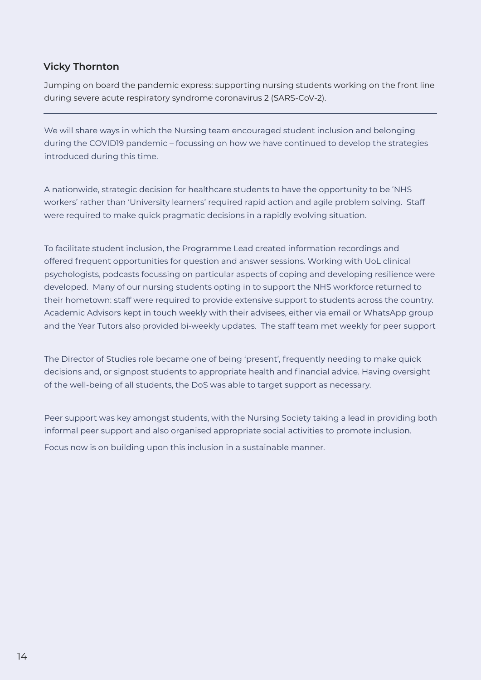#### <span id="page-13-0"></span>**Vicky Thornton**

Jumping on board the pandemic express: supporting nursing students working on the front line during severe acute respiratory syndrome coronavirus 2 (SARS-CoV-2).

We will share ways in which the Nursing team encouraged student inclusion and belonging during the COVID19 pandemic – focussing on how we have continued to develop the strategies introduced during this time.

A nationwide, strategic decision for healthcare students to have the opportunity to be 'NHS workers' rather than 'University learners' required rapid action and agile problem solving. Staff were required to make quick pragmatic decisions in a rapidly evolving situation.

To facilitate student inclusion, the Programme Lead created information recordings and offered frequent opportunities for question and answer sessions. Working with UoL clinical psychologists, podcasts focussing on particular aspects of coping and developing resilience were developed. Many of our nursing students opting in to support the NHS workforce returned to their hometown: staff were required to provide extensive support to students across the country. Academic Advisors kept in touch weekly with their advisees, either via email or WhatsApp group and the Year Tutors also provided bi-weekly updates. The staff team met weekly for peer support

The Director of Studies role became one of being 'present', frequently needing to make quick decisions and, or signpost students to appropriate health and financial advice. Having oversight of the well-being of all students, the DoS was able to target support as necessary.

Peer support was key amongst students, with the Nursing Society taking a lead in providing both informal peer support and also organised appropriate social activities to promote inclusion.

Focus now is on building upon this inclusion in a sustainable manner.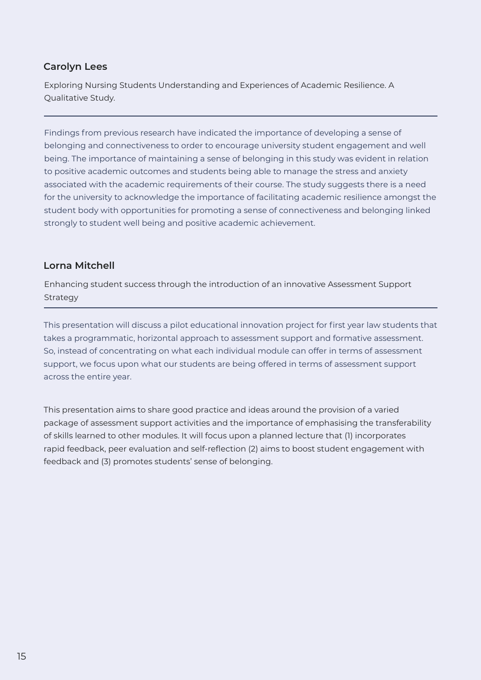#### <span id="page-14-0"></span>**Carolyn Lees**

Exploring Nursing Students Understanding and Experiences of Academic Resilience. A Qualitative Study.

Findings from previous research have indicated the importance of developing a sense of belonging and connectiveness to order to encourage university student engagement and well being. The importance of maintaining a sense of belonging in this study was evident in relation to positive academic outcomes and students being able to manage the stress and anxiety associated with the academic requirements of their course. The study suggests there is a need for the university to acknowledge the importance of facilitating academic resilience amongst the student body with opportunities for promoting a sense of connectiveness and belonging linked strongly to student well being and positive academic achievement.

#### **Lorna Mitchell**

Enhancing student success through the introduction of an innovative Assessment Support Strategy

This presentation will discuss a pilot educational innovation project for first year law students that takes a programmatic, horizontal approach to assessment support and formative assessment. So, instead of concentrating on what each individual module can offer in terms of assessment support, we focus upon what our students are being offered in terms of assessment support across the entire year.

This presentation aims to share good practice and ideas around the provision of a varied package of assessment support activities and the importance of emphasising the transferability of skills learned to other modules. It will focus upon a planned lecture that (1) incorporates rapid feedback, peer evaluation and self-reflection (2) aims to boost student engagement with feedback and (3) promotes students' sense of belonging.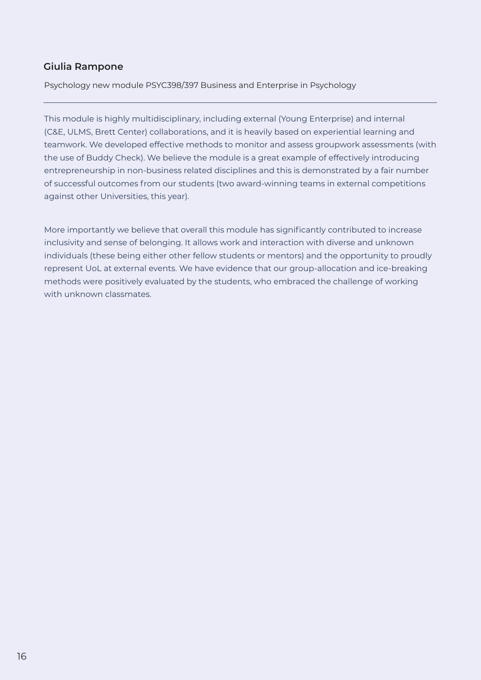#### <span id="page-15-0"></span>**Giulia Rampone**

Psychology new module PSYC398/397 Business and Enterprise in Psychology

This module is highly multidisciplinary, including external (Young Enterprise) and internal (C&E, ULMS, Brett Center) collaborations, and it is heavily based on experiential learning and teamwork. We developed effective methods to monitor and assess groupwork assessments (with the use of Buddy Check). We believe the module is a great example of effectively introducing entrepreneurship in non-business related disciplines and this is demonstrated by a fair number of successful outcomes from our students (two award-winning teams in external competitions against other Universities, this year).

More importantly we believe that overall this module has significantly contributed to increase inclusivity and sense of belonging. It allows work and interaction with diverse and unknown individuals (these being either other fellow students or mentors) and the opportunity to proudly represent UoL at external events. We have evidence that our group-allocation and ice-breaking methods were positively evaluated by the students, who embraced the challenge of working with unknown classmates.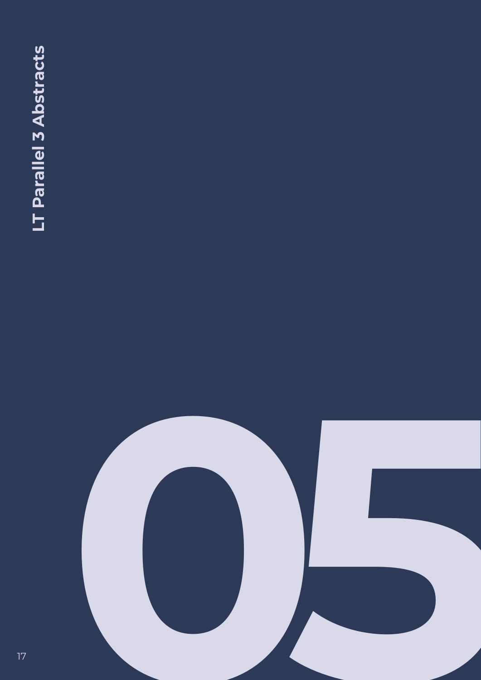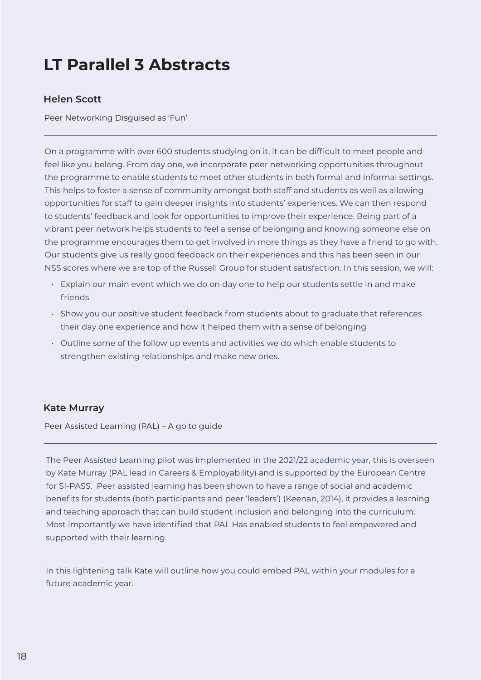## <span id="page-17-0"></span>**LT Parallel 3 Abstracts**

#### **Helen Scott**

Peer Networking Disguised as 'Fun'

On a programme with over 600 students studying on it, it can be difficult to meet people and feel like you belong. From day one, we incorporate peer networking opportunities throughout the programme to enable students to meet other students in both formal and informal settings. This helps to foster a sense of community amongst both staff and students as well as allowing opportunities for staff to gain deeper insights into students' experiences. We can then respond to students' feedback and look for opportunities to improve their experience. Being part of a vibrant peer network helps students to feel a sense of belonging and knowing someone else on the programme encourages them to get involved in more things as they have a friend to go with. Our students give us really good feedback on their experiences and this has been seen in our NSS scores where we are top of the Russell Group for student satisfaction. In this session, we will:

- Explain our main event which we do on day one to help our students settle in and make friends
- Show you our positive student feedback from students about to graduate that references their day one experience and how it helped them with a sense of belonging
- Outline some of the follow up events and activities we do which enable students to strengthen existing relationships and make new ones.

#### **Kate Murray**

Peer Assisted Learning (PAL) – A go to guide

The Peer Assisted Learning pilot was implemented in the 2021/22 academic year, this is overseen by Kate Murray (PAL lead in Careers & Employability) and is supported by the European Centre for SI-PASS. Peer assisted learning has been shown to have a range of social and academic benefits for students (both participants and peer 'leaders') (Keenan, 2014), it provides a learning and teaching approach that can build student inclusion and belonging into the curriculum. Most importantly we have identified that PAL Has enabled students to feel empowered and supported with their learning.

In this lightening talk Kate will outline how you could embed PAL within your modules for a future academic year.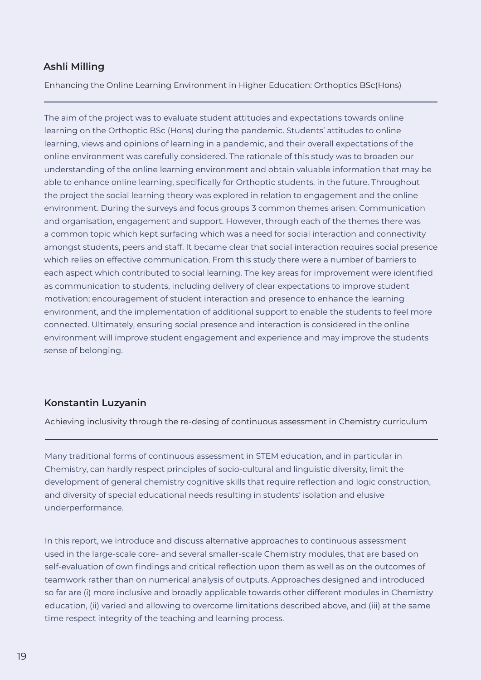#### <span id="page-18-0"></span>**Ashli Milling**

Enhancing the Online Learning Environment in Higher Education: Orthoptics BSc(Hons)

The aim of the project was to evaluate student attitudes and expectations towards online learning on the Orthoptic BSc (Hons) during the pandemic. Students' attitudes to online learning, views and opinions of learning in a pandemic, and their overall expectations of the online environment was carefully considered. The rationale of this study was to broaden our understanding of the online learning environment and obtain valuable information that may be able to enhance online learning, specifically for Orthoptic students, in the future. Throughout the project the social learning theory was explored in relation to engagement and the online environment. During the surveys and focus groups 3 common themes arisen: Communication and organisation, engagement and support. However, through each of the themes there was a common topic which kept surfacing which was a need for social interaction and connectivity amongst students, peers and staff. It became clear that social interaction requires social presence which relies on effective communication. From this study there were a number of barriers to each aspect which contributed to social learning. The key areas for improvement were identified as communication to students, including delivery of clear expectations to improve student motivation; encouragement of student interaction and presence to enhance the learning environment, and the implementation of additional support to enable the students to feel more connected. Ultimately, ensuring social presence and interaction is considered in the online environment will improve student engagement and experience and may improve the students sense of belonging.

#### **Konstantin Luzyanin**

Achieving inclusivity through the re-desing of continuous assessment in Chemistry curriculum

Many traditional forms of continuous assessment in STEM education, and in particular in Chemistry, can hardly respect principles of socio-cultural and linguistic diversity, limit the development of general chemistry cognitive skills that require reflection and logic construction, and diversity of special educational needs resulting in students' isolation and elusive underperformance.

In this report, we introduce and discuss alternative approaches to continuous assessment used in the large-scale core- and several smaller-scale Chemistry modules, that are based on self-evaluation of own findings and critical reflection upon them as well as on the outcomes of teamwork rather than on numerical analysis of outputs. Approaches designed and introduced so far are (i) more inclusive and broadly applicable towards other different modules in Chemistry education, (ii) varied and allowing to overcome limitations described above, and (iii) at the same time respect integrity of the teaching and learning process.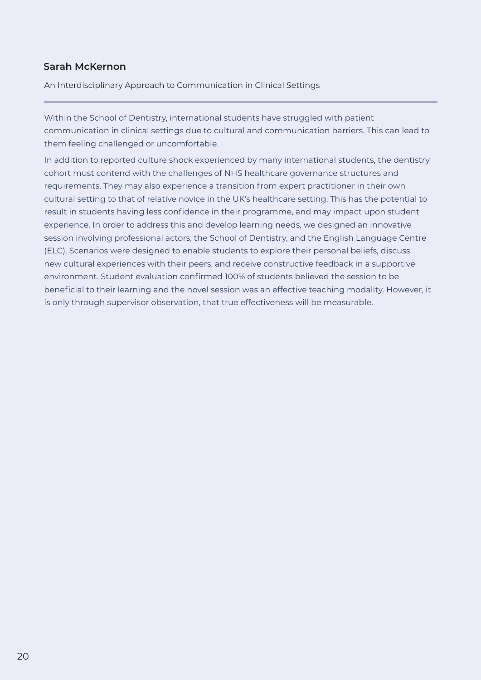#### <span id="page-19-0"></span>**Sarah McKernon**

An Interdisciplinary Approach to Communication in Clinical Settings

Within the School of Dentistry, international students have struggled with patient communication in clinical settings due to cultural and communication barriers. This can lead to them feeling challenged or uncomfortable.

In addition to reported culture shock experienced by many international students, the dentistry cohort must contend with the challenges of NHS healthcare governance structures and requirements. They may also experience a transition from expert practitioner in their own cultural setting to that of relative novice in the UK's healthcare setting. This has the potential to result in students having less confidence in their programme, and may impact upon student experience. In order to address this and develop learning needs, we designed an innovative session involving professional actors, the School of Dentistry, and the English Language Centre (ELC). Scenarios were designed to enable students to explore their personal beliefs, discuss new cultural experiences with their peers, and receive constructive feedback in a supportive environment. Student evaluation confirmed 100% of students believed the session to be beneficial to their learning and the novel session was an effective teaching modality. However, it is only through supervisor observation, that true effectiveness will be measurable.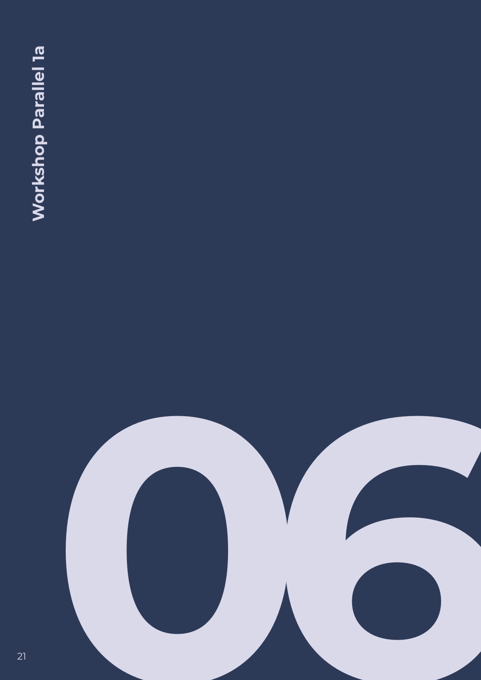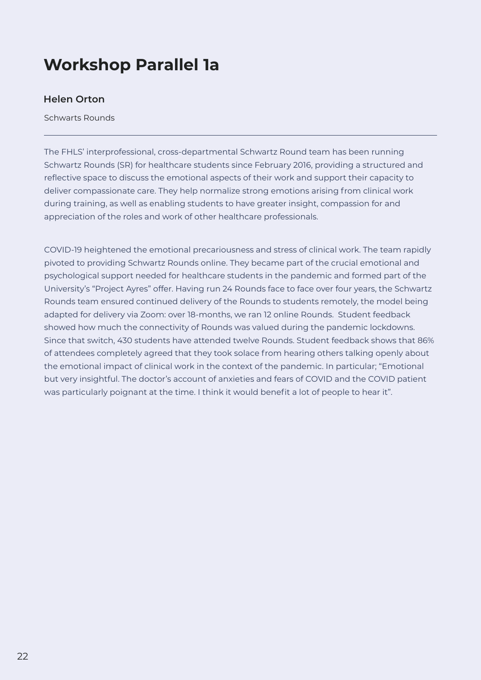## <span id="page-21-0"></span>**Workshop Parallel 1a**

#### **Helen Orton**

Schwarts Rounds

The FHLS' interprofessional, cross-departmental Schwartz Round team has been running Schwartz Rounds (SR) for healthcare students since February 2016, providing a structured and reflective space to discuss the emotional aspects of their work and support their capacity to deliver compassionate care. They help normalize strong emotions arising from clinical work during training, as well as enabling students to have greater insight, compassion for and appreciation of the roles and work of other healthcare professionals.

COVID-19 heightened the emotional precariousness and stress of clinical work. The team rapidly pivoted to providing Schwartz Rounds online. They became part of the crucial emotional and psychological support needed for healthcare students in the pandemic and formed part of the University's "Project Ayres" offer. Having run 24 Rounds face to face over four years, the Schwartz Rounds team ensured continued delivery of the Rounds to students remotely, the model being adapted for delivery via Zoom: over 18-months, we ran 12 online Rounds. Student feedback showed how much the connectivity of Rounds was valued during the pandemic lockdowns. Since that switch, 430 students have attended twelve Rounds. Student feedback shows that 86% of attendees completely agreed that they took solace from hearing others talking openly about the emotional impact of clinical work in the context of the pandemic. In particular; "Emotional but very insightful. The doctor's account of anxieties and fears of COVID and the COVID patient was particularly poignant at the time. I think it would benefit a lot of people to hear it".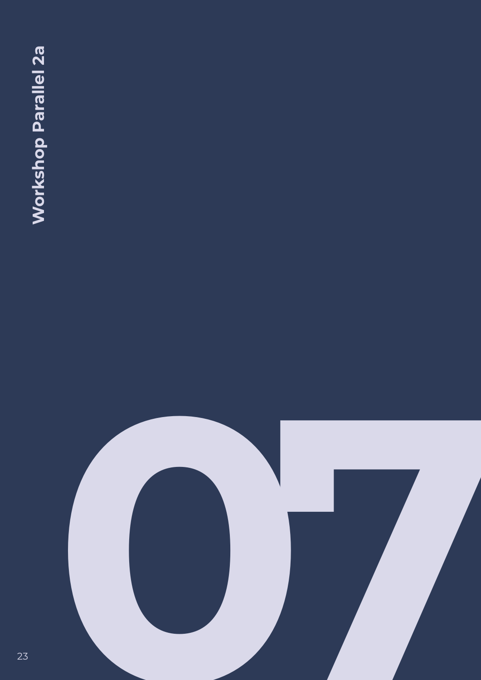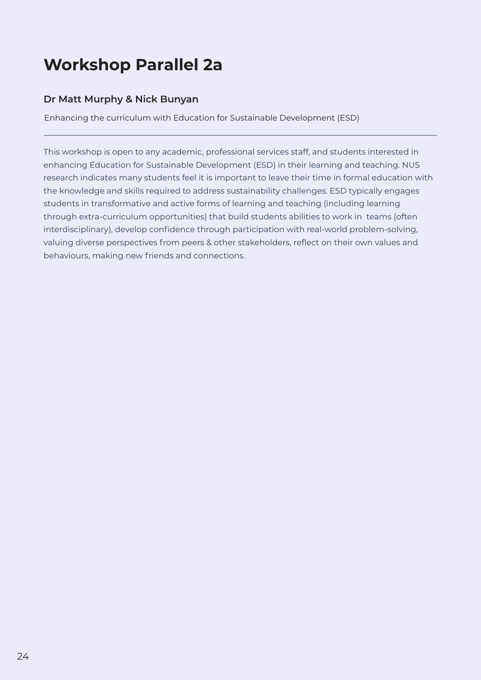## <span id="page-23-0"></span>**Workshop Parallel 2a**

#### **Dr Matt Murphy & Nick Bunyan**

Enhancing the curriculum with Education for Sustainable Development (ESD)

This workshop is open to any academic, professional services staff, and students interested in enhancing Education for Sustainable Development (ESD) in their learning and teaching. NUS research indicates many students feel it is important to leave their time in formal education with the knowledge and skills required to address sustainability challenges. ESD typically engages students in transformative and active forms of learning and teaching (including learning through extra-curriculum opportunities) that build students abilities to work in teams (often interdisciplinary), develop confidence through participation with real-world problem-solving, valuing diverse perspectives from peers & other stakeholders, reflect on their own values and behaviours, making new friends and connections.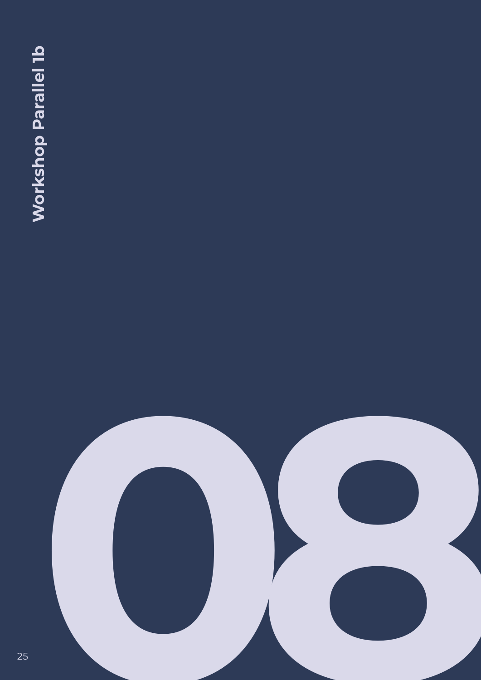**25<br>
Western Parallel 16**<br>
Western Parallel 16<br>
Western Parallel 16<br>
Western Parallel 16<br>
Western Parallel 16<br>
Western Parallel 16<br>
Western Parallel 16<br>
Western Parallel 16<br>
Western Parallel 16<br>
Western Parallel 16<br>
Wester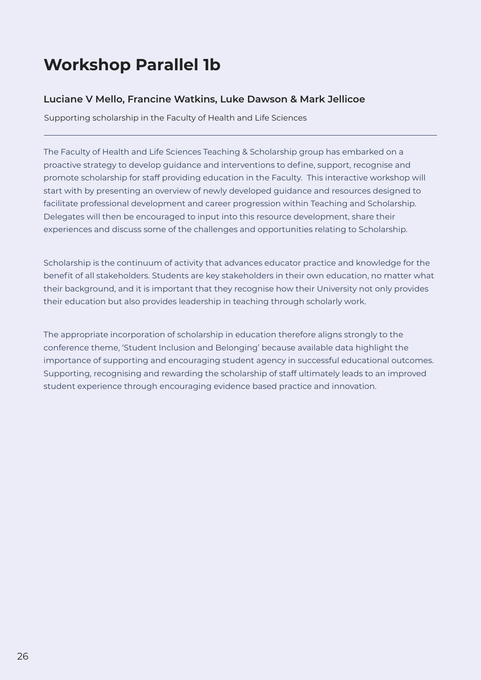## <span id="page-25-0"></span>**Workshop Parallel 1b**

#### **Luciane V Mello, Francine Watkins, Luke Dawson & Mark Jellicoe**

Supporting scholarship in the Faculty of Health and Life Sciences

The Faculty of Health and Life Sciences Teaching & Scholarship group has embarked on a proactive strategy to develop guidance and interventions to define, support, recognise and promote scholarship for staff providing education in the Faculty. This interactive workshop will start with by presenting an overview of newly developed guidance and resources designed to facilitate professional development and career progression within Teaching and Scholarship. Delegates will then be encouraged to input into this resource development, share their experiences and discuss some of the challenges and opportunities relating to Scholarship.

Scholarship is the continuum of activity that advances educator practice and knowledge for the benefit of all stakeholders. Students are key stakeholders in their own education, no matter what their background, and it is important that they recognise how their University not only provides their education but also provides leadership in teaching through scholarly work.

The appropriate incorporation of scholarship in education therefore aligns strongly to the conference theme, 'Student Inclusion and Belonging' because available data highlight the importance of supporting and encouraging student agency in successful educational outcomes. Supporting, recognising and rewarding the scholarship of staff ultimately leads to an improved student experience through encouraging evidence based practice and innovation.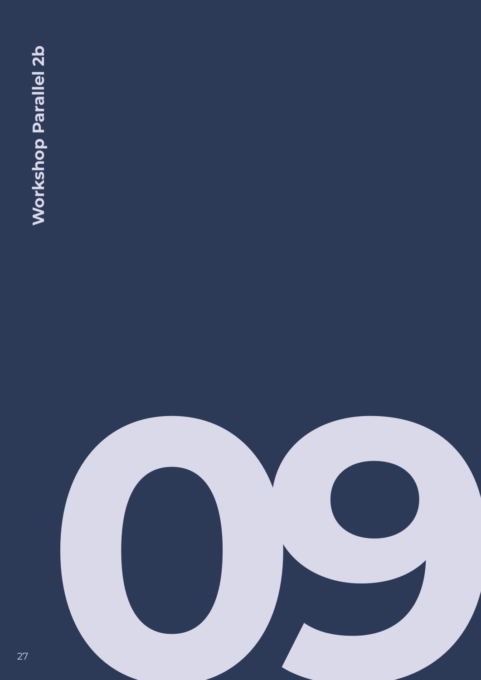